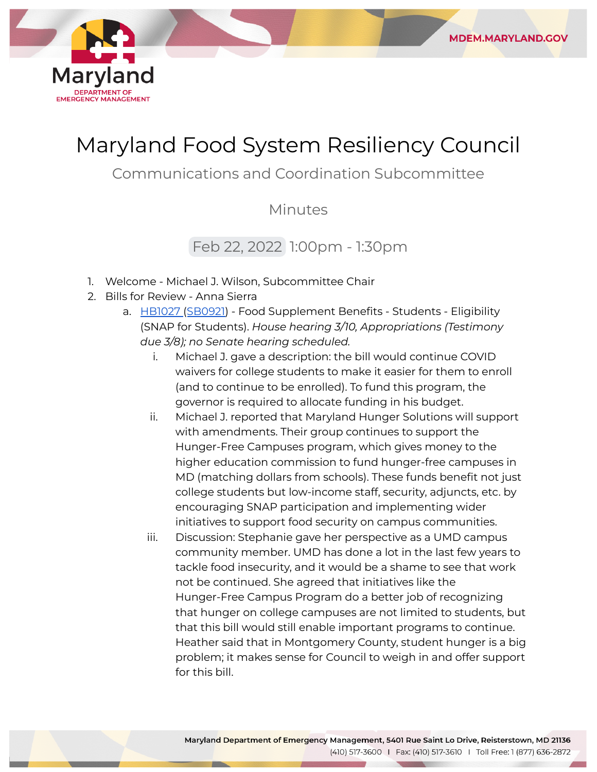

## Maryland Food System Resiliency Council

**MDEM.MARYLAND.GOV** 

Communications and Coordination Subcommittee

Minutes

## Feb 22, 2022 1:00pm - 1:30pm

- 1. Welcome Michael J. Wilson, Subcommittee Chair
- 2. Bills for Review Anna Sierra
	- a. [HB1027](https://mgaleg.maryland.gov/mgawebsite/Legislation/Details/hb1027?ys=2022RS) ([SB0921\)](https://mgaleg.maryland.gov/mgawebsite/Legislation/Details/sb0921?ys=2022RS) Food Supplement Benefits Students Eligibility (SNAP for Students). *House hearing 3/10, Appropriations (Testimony due 3/8); no Senate hearing scheduled.*
		- i. Michael J. gave a description: the bill would continue COVID waivers for college students to make it easier for them to enroll (and to continue to be enrolled). To fund this program, the governor is required to allocate funding in his budget.
		- ii. Michael J. reported that Maryland Hunger Solutions will support with amendments. Their group continues to support the Hunger-Free Campuses program, which gives money to the higher education commission to fund hunger-free campuses in MD (matching dollars from schools). These funds benefit not just college students but low-income staff, security, adjuncts, etc. by encouraging SNAP participation and implementing wider initiatives to support food security on campus communities.
		- iii. Discussion: Stephanie gave her perspective as a UMD campus community member. UMD has done a lot in the last few years to tackle food insecurity, and it would be a shame to see that work not be continued. She agreed that initiatives like the Hunger-Free Campus Program do a better job of recognizing that hunger on college campuses are not limited to students, but that this bill would still enable important programs to continue. Heather said that in Montgomery County, student hunger is a big problem; it makes sense for Council to weigh in and offer support for this bill.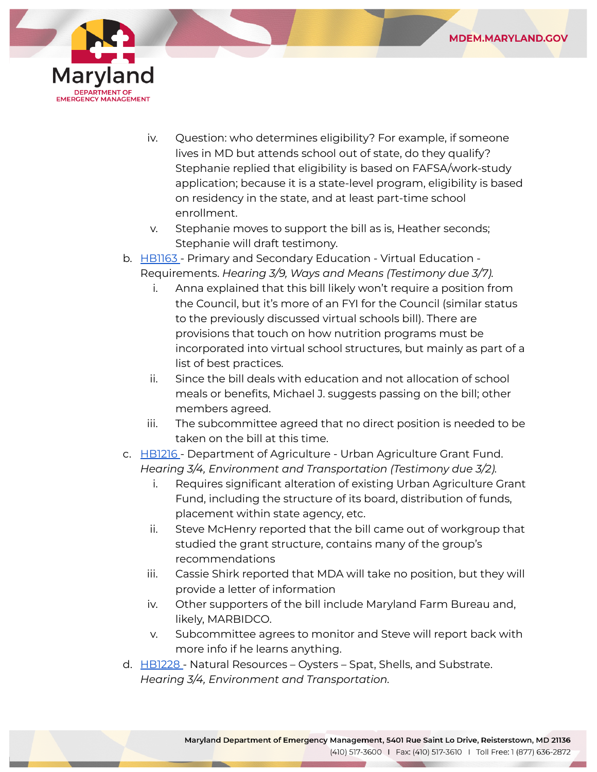



- iv. Question: who determines eligibility? For example, if someone lives in MD but attends school out of state, do they qualify? Stephanie replied that eligibility is based on FAFSA/work-study application; because it is a state-level program, eligibility is based on residency in the state, and at least part-time school enrollment.
- v. Stephanie moves to support the bill as is, Heather seconds; Stephanie will draft testimony.
- b. [HB1163](https://mgaleg.maryland.gov/mgawebsite/Legislation/Details/hb1163?ys=2022RS) Primary and Secondary Education Virtual Education Requirements. *Hearing 3/9, Ways and Means (Testimony due 3/7).*
	- i. Anna explained that this bill likely won't require a position from the Council, but it's more of an FYI for the Council (similar status to the previously discussed virtual schools bill). There are provisions that touch on how nutrition programs must be incorporated into virtual school structures, but mainly as part of a list of best practices.
	- ii. Since the bill deals with education and not allocation of school meals or benefits, Michael J. suggests passing on the bill; other members agreed.
	- iii. The subcommittee agreed that no direct position is needed to be taken on the bill at this time.
- c. [HB1216](https://mgaleg.maryland.gov/mgawebsite/Legislation/Details/hb1216?ys=2022RS) Department of Agriculture Urban Agriculture Grant Fund. *Hearing 3/4, Environment and Transportation (Testimony due 3/2).*
	- i. Requires significant alteration of existing Urban Agriculture Grant Fund, including the structure of its board, distribution of funds, placement within state agency, etc.
	- ii. Steve McHenry reported that the bill came out of workgroup that studied the grant structure, contains many of the group's recommendations
	- iii. Cassie Shirk reported that MDA will take no position, but they will provide a letter of information
	- iv. Other supporters of the bill include Maryland Farm Bureau and, likely, MARBIDCO.
	- v. Subcommittee agrees to monitor and Steve will report back with more info if he learns anything.
- d. [HB1228](https://mgaleg.maryland.gov/mgawebsite/Legislation/Details/hb1228?ys=2022RS) Natural Resources Oysters Spat, Shells, and Substrate. *Hearing 3/4, Environment and Transportation.*